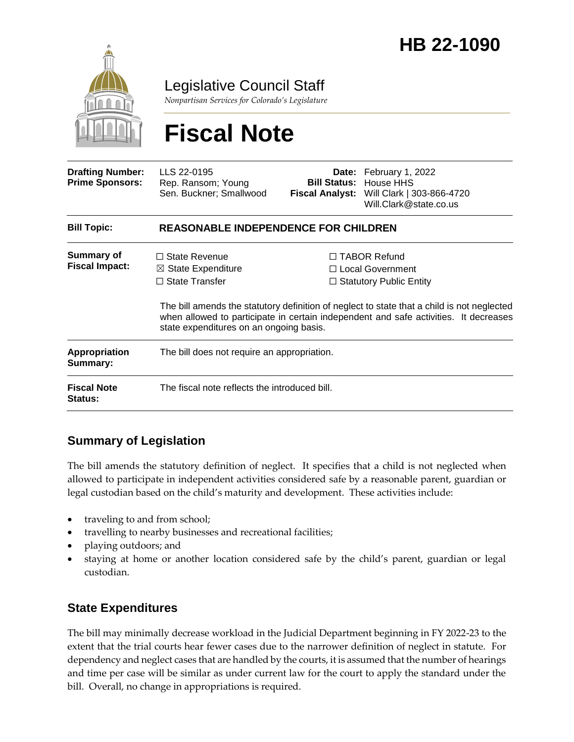

Legislative Council Staff

*Nonpartisan Services for Colorado's Legislature*

# **Fiscal Note**

| <b>Drafting Number:</b><br><b>Prime Sponsors:</b> | LLS 22-0195<br>Rep. Ransom; Young<br>Sen. Buckner; Smallwood                           |                                                                                                                                                                                                                                                                        | <b>Date:</b> February 1, 2022<br><b>Bill Status: House HHS</b><br>Fiscal Analyst: Will Clark   303-866-4720<br>Will.Clark@state.co.us |
|---------------------------------------------------|----------------------------------------------------------------------------------------|------------------------------------------------------------------------------------------------------------------------------------------------------------------------------------------------------------------------------------------------------------------------|---------------------------------------------------------------------------------------------------------------------------------------|
| <b>Bill Topic:</b>                                | <b>REASONABLE INDEPENDENCE FOR CHILDREN</b>                                            |                                                                                                                                                                                                                                                                        |                                                                                                                                       |
| <b>Summary of</b><br><b>Fiscal Impact:</b>        | $\Box$ State Revenue<br>$\boxtimes$ State Expenditure<br>$\Box$ State Transfer         | $\Box$ TABOR Refund<br>$\Box$ Local Government<br>$\Box$ Statutory Public Entity<br>The bill amends the statutory definition of neglect to state that a child is not neglected<br>when allowed to participate in certain independent and safe activities. It decreases |                                                                                                                                       |
| <b>Appropriation</b><br>Summary:                  | state expenditures on an ongoing basis.<br>The bill does not require an appropriation. |                                                                                                                                                                                                                                                                        |                                                                                                                                       |
| <b>Fiscal Note</b><br><b>Status:</b>              | The fiscal note reflects the introduced bill.                                          |                                                                                                                                                                                                                                                                        |                                                                                                                                       |

## **Summary of Legislation**

The bill amends the statutory definition of neglect. It specifies that a child is not neglected when allowed to participate in independent activities considered safe by a reasonable parent, guardian or legal custodian based on the child's maturity and development. These activities include:

- traveling to and from school;
- travelling to nearby businesses and recreational facilities;
- playing outdoors; and
- staying at home or another location considered safe by the child's parent, guardian or legal custodian.

### **State Expenditures**

The bill may minimally decrease workload in the Judicial Department beginning in FY 2022-23 to the extent that the trial courts hear fewer cases due to the narrower definition of neglect in statute. For dependency and neglect cases that are handled by the courts, it is assumed that the number of hearings and time per case will be similar as under current law for the court to apply the standard under the bill. Overall, no change in appropriations is required.